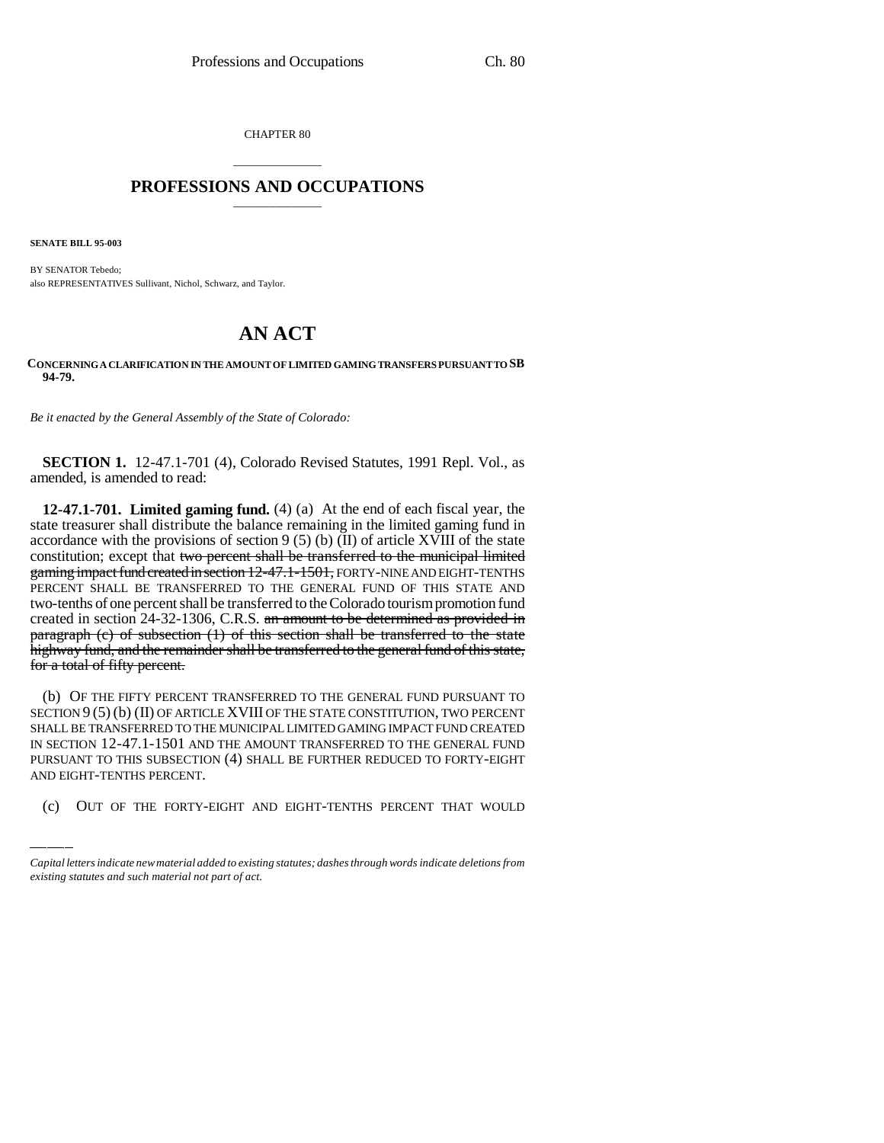CHAPTER 80

## \_\_\_\_\_\_\_\_\_\_\_\_\_\_\_ **PROFESSIONS AND OCCUPATIONS** \_\_\_\_\_\_\_\_\_\_\_\_\_\_\_

**SENATE BILL 95-003**

BY SENATOR Tebedo; also REPRESENTATIVES Sullivant, Nichol, Schwarz, and Taylor.

## **AN ACT**

**CONCERNING A CLARIFICATION IN THE AMOUNT OF LIMITED GAMING TRANSFERS PURSUANT TO SB 94-79.**

*Be it enacted by the General Assembly of the State of Colorado:*

**SECTION 1.** 12-47.1-701 (4), Colorado Revised Statutes, 1991 Repl. Vol., as amended, is amended to read:

**12-47.1-701. Limited gaming fund.** (4) (a) At the end of each fiscal year, the state treasurer shall distribute the balance remaining in the limited gaming fund in accordance with the provisions of section  $9(5)(b)(II)$  of article XVIII of the state constitution; except that two percent shall be transferred to the municipal limited gaming impact fund created in section 12-47.1-1501, FORTY-NINE AND EIGHT-TENTHS PERCENT SHALL BE TRANSFERRED TO THE GENERAL FUND OF THIS STATE AND two-tenths of one percent shall be transferred to the Colorado tourism promotion fund created in section 24-32-1306, C.R.S. an amount to be determined as provided in paragraph (c) of subsection (1) of this section shall be transferred to the state highway fund, and the remainder shall be transferred to the general fund of this state, for a total of fifty percent.

IN SECTION 12-47.1-1501 AND THE AMOUNT TRANSFERRED TO THE GENERAL FUND (b) OF THE FIFTY PERCENT TRANSFERRED TO THE GENERAL FUND PURSUANT TO SECTION 9 (5) (b) (II) OF ARTICLE XVIII OF THE STATE CONSTITUTION, TWO PERCENT SHALL BE TRANSFERRED TO THE MUNICIPAL LIMITED GAMING IMPACT FUND CREATED PURSUANT TO THIS SUBSECTION (4) SHALL BE FURTHER REDUCED TO FORTY-EIGHT AND EIGHT-TENTHS PERCENT.

(c) OUT OF THE FORTY-EIGHT AND EIGHT-TENTHS PERCENT THAT WOULD

*Capital letters indicate new material added to existing statutes; dashes through words indicate deletions from existing statutes and such material not part of act.*